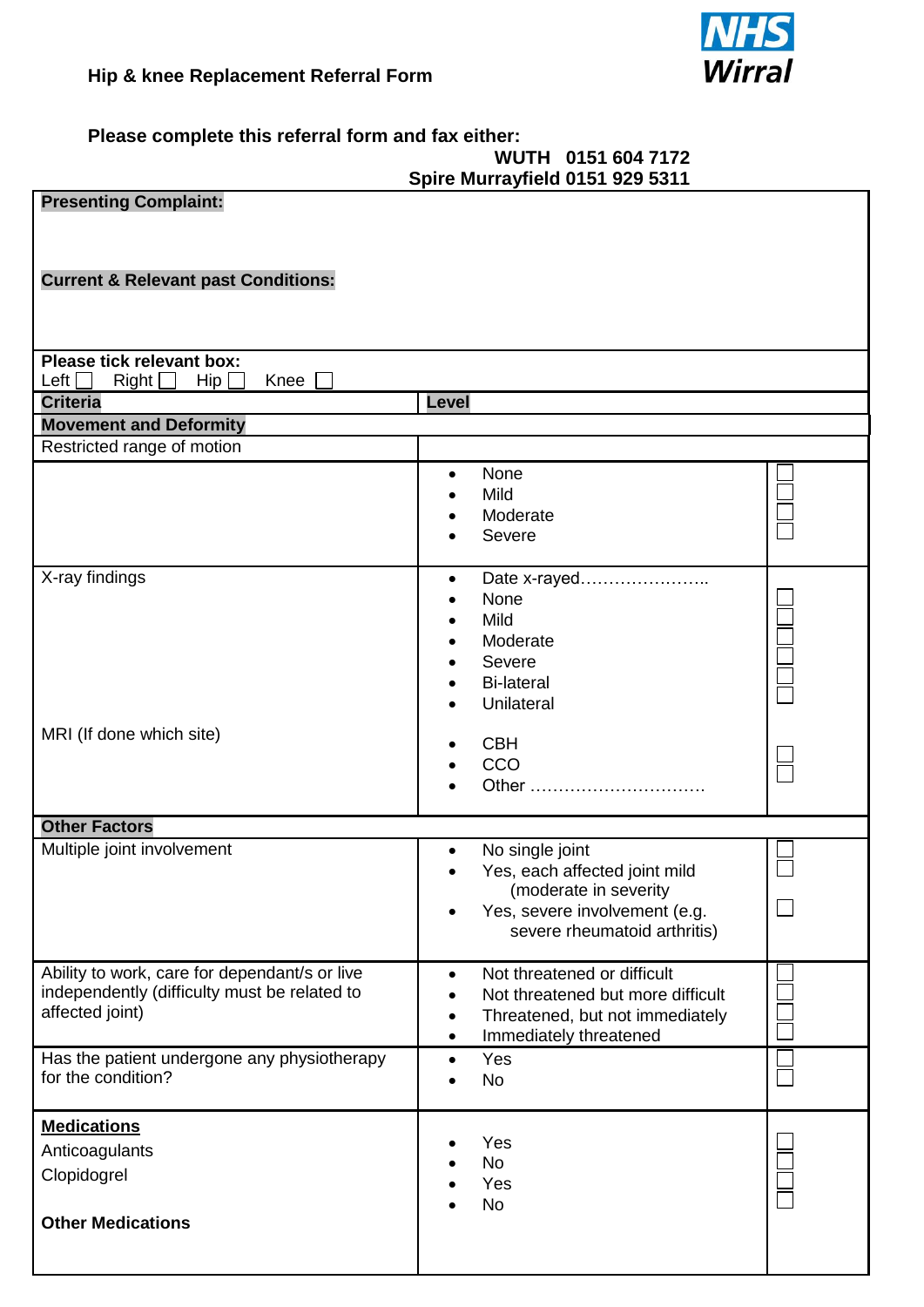

**Please complete this referral form and fax either:**

## **WUTH 0151 604 7172 Spire Murrayfield 0151 929 5311**

| <br><b>Presenting Complaint:</b>                                                              |                                                                               |  |
|-----------------------------------------------------------------------------------------------|-------------------------------------------------------------------------------|--|
|                                                                                               |                                                                               |  |
|                                                                                               |                                                                               |  |
| <b>Current &amp; Relevant past Conditions:</b>                                                |                                                                               |  |
|                                                                                               |                                                                               |  |
|                                                                                               |                                                                               |  |
| Please tick relevant box:                                                                     |                                                                               |  |
| Left<br>Knee<br>Right<br>$\mathsf{Hip} \,\Box$<br>$\overline{\phantom{a}}$                    |                                                                               |  |
| <b>Criteria</b><br><b>Level</b>                                                               |                                                                               |  |
| <b>Movement and Deformity</b>                                                                 |                                                                               |  |
| Restricted range of motion                                                                    |                                                                               |  |
|                                                                                               | None<br>$\bullet$<br>Mild                                                     |  |
|                                                                                               | Moderate                                                                      |  |
|                                                                                               | Severe                                                                        |  |
|                                                                                               |                                                                               |  |
| X-ray findings                                                                                | Date x-rayed<br>$\bullet$                                                     |  |
|                                                                                               | None<br>Mild                                                                  |  |
|                                                                                               | Moderate                                                                      |  |
|                                                                                               | Severe                                                                        |  |
|                                                                                               | <b>Bi-lateral</b>                                                             |  |
|                                                                                               | Unilateral                                                                    |  |
| MRI (If done which site)                                                                      |                                                                               |  |
|                                                                                               | <b>CBH</b><br>CCO                                                             |  |
|                                                                                               | Other                                                                         |  |
|                                                                                               |                                                                               |  |
| <b>Other Factors</b>                                                                          |                                                                               |  |
| Multiple joint involvement                                                                    | No single joint<br>$\bullet$                                                  |  |
|                                                                                               | Yes, each affected joint mild<br>(moderate in severity                        |  |
|                                                                                               | Yes, severe involvement (e.g.                                                 |  |
|                                                                                               | severe rheumatoid arthritis)                                                  |  |
|                                                                                               |                                                                               |  |
| Ability to work, care for dependant/s or live<br>independently (difficulty must be related to | Not threatened or difficult<br>$\bullet$<br>Not threatened but more difficult |  |
| affected joint)                                                                               | Threatened, but not immediately                                               |  |
|                                                                                               | Immediately threatened                                                        |  |
| Has the patient undergone any physiotherapy                                                   | Yes<br>$\bullet$                                                              |  |
| for the condition?                                                                            | <b>No</b>                                                                     |  |
| <b>Medications</b>                                                                            |                                                                               |  |
| Anticoagulants                                                                                | Yes                                                                           |  |
| Clopidogrel                                                                                   | <b>No</b><br>Yes                                                              |  |
|                                                                                               | <b>No</b>                                                                     |  |
| <b>Other Medications</b>                                                                      |                                                                               |  |
|                                                                                               |                                                                               |  |
|                                                                                               |                                                                               |  |